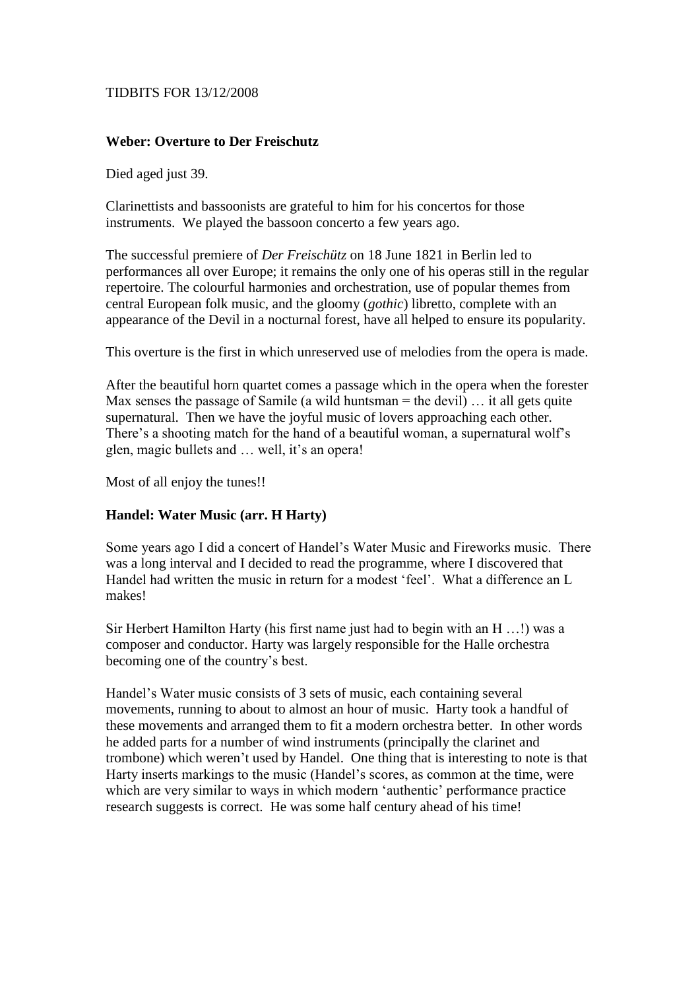## TIDBITS FOR 13/12/2008

## **Weber: Overture to Der Freischutz**

Died aged just 39.

Clarinettists and bassoonists are grateful to him for his concertos for those instruments. We played the bassoon concerto a few years ago.

The successful premiere of *Der Freischütz* on 18 June 1821 in Berlin led to performances all over Europe; it remains the only one of his operas still in the regular repertoire. The colourful harmonies and orchestration, use of popular themes from central European folk music, and the gloomy (*gothic*) libretto, complete with an appearance of the Devil in a nocturnal forest, have all helped to ensure its popularity.

This overture is the first in which unreserved use of melodies from the opera is made.

After the beautiful horn quartet comes a passage which in the opera when the forester Max senses the passage of Samile (a wild huntsman  $=$  the devil)  $\ldots$  it all gets quite supernatural. Then we have the joyful music of lovers approaching each other. There's a shooting match for the hand of a beautiful woman, a supernatural wolf's glen, magic bullets and … well, it's an opera!

Most of all enjoy the tunes!!

## **Handel: Water Music (arr. H Harty)**

Some years ago I did a concert of Handel's Water Music and Fireworks music. There was a long interval and I decided to read the programme, where I discovered that Handel had written the music in return for a modest 'feel'. What a difference an L makes!

Sir Herbert Hamilton Harty (his first name just had to begin with an H …!) was a composer and conductor. Harty was largely responsible for the Halle orchestra becoming one of the country's best.

Handel's Water music consists of 3 sets of music, each containing several movements, running to about to almost an hour of music. Harty took a handful of these movements and arranged them to fit a modern orchestra better. In other words he added parts for a number of wind instruments (principally the clarinet and trombone) which weren't used by Handel. One thing that is interesting to note is that Harty inserts markings to the music (Handel's scores, as common at the time, were which are very similar to ways in which modern 'authentic' performance practice research suggests is correct. He was some half century ahead of his time!